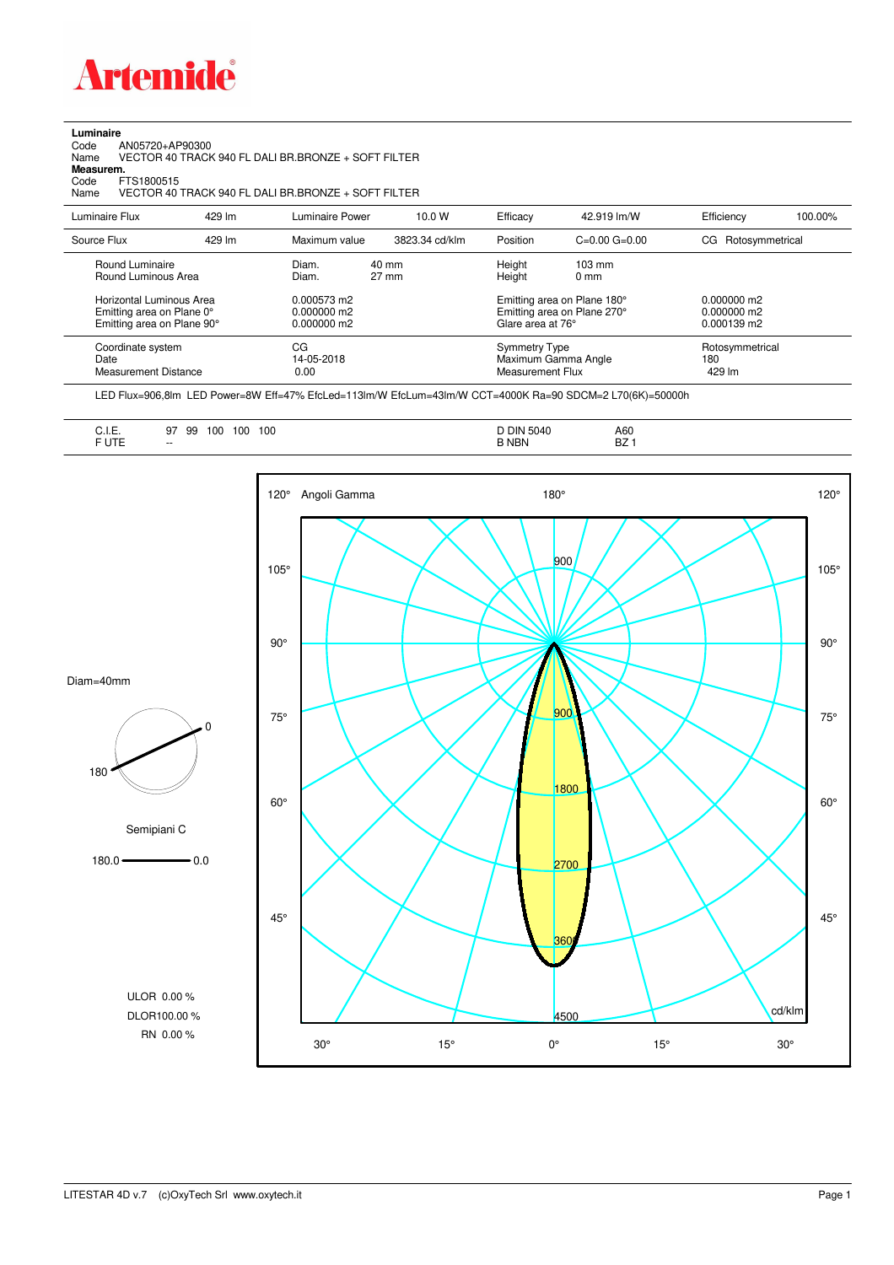

**Luminaire**<br>Code<br>Name Code AN05720+AP90300 Name VECTOR 40 TRACK 940 FL DALI BR.BRONZE + SOFT FILTER

**Measurem.**

Code FTS1800515<br>Name VECTOR 40 Name VECTOR 40 TRACK 940 FL DALI BR.BRONZE + SOFT FILTER

| Luminaire Flux                                                                      | 429 lm | Luminaire Power                               | 10.0 W                   | Efficacy         | 42.919 lm/W                                                                     | Efficiency         | 100.00%         |
|-------------------------------------------------------------------------------------|--------|-----------------------------------------------|--------------------------|------------------|---------------------------------------------------------------------------------|--------------------|-----------------|
| Source Flux                                                                         | 429 lm | Maximum value                                 | 3823.34 cd/klm           | Position         | $C=0.00$ $G=0.00$                                                               | CG Rotosymmetrical |                 |
| Round Luminaire<br>Round Luminous Area                                              |        | Diam.<br>Diam.                                | 40 mm<br>$27 \text{ mm}$ | Height<br>Height | $103 \text{ mm}$<br>$0 \text{ mm}$                                              | $0.000000$ m2      |                 |
| Horizontal Luminous Area<br>Emitting area on Plane 0°<br>Emitting area on Plane 90° |        | 0.000573 m2<br>$0.000000$ m2<br>$0.000000$ m2 |                          |                  | Emitting area on Plane 180°<br>Emitting area on Plane 270°<br>Glare area at 76° |                    |                 |
| Coordinate system<br>Date<br>Measurement Distance                                   |        | CG<br>14-05-2018<br>0.00                      |                          |                  | <b>Symmetry Type</b><br>Maximum Gamma Angle<br>Measurement Flux                 |                    | Rotosymmetrical |

LED Flux=906,8lm LED Power=8W Eff=47% EfcLed=113lm/W EfcLum=43lm/W CCT=4000K Ra=90 SDCM=2 L70(6K)=50000h